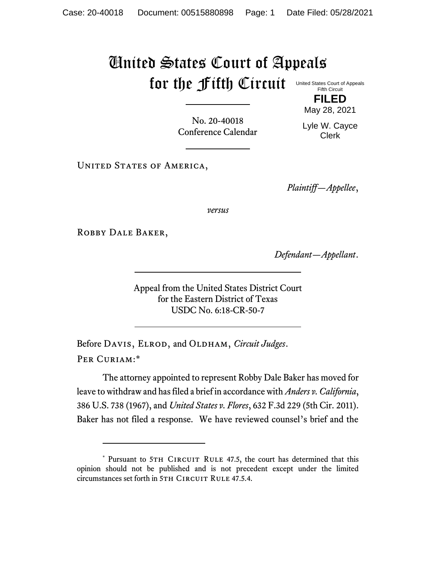## United States Court of Appeals for the Fifth Circuit United States Court of Appeals

Fifth Circuit **FILED**

No. 20-40018 Conference Calendar

May 28, 2021 Lyle W. Cayce

Clerk

UNITED STATES OF AMERICA,

*Plaintiff—Appellee*,

*versus*

ROBBY DALE BAKER,

*Defendant—Appellant*.

Appeal from the United States District Court for the Eastern District of Texas USDC No. 6:18-CR-50-7

Before DAVIS, ELROD, and OLDHAM, *Circuit Judges*. Per Curiam:\*

The attorney appointed to represent Robby Dale Baker has moved for leave to withdraw and has filed a brief in accordance with *Anders v. California*, 386 U.S. 738 (1967), and *United States v. Flores*, 632 F.3d 229 (5th Cir. 2011). Baker has not filed a response. We have reviewed counsel's brief and the

<sup>\*</sup> Pursuant to 5TH CIRCUIT RULE 47.5, the court has determined that this opinion should not be published and is not precedent except under the limited circumstances set forth in 5TH CIRCUIT RULE 47.5.4.